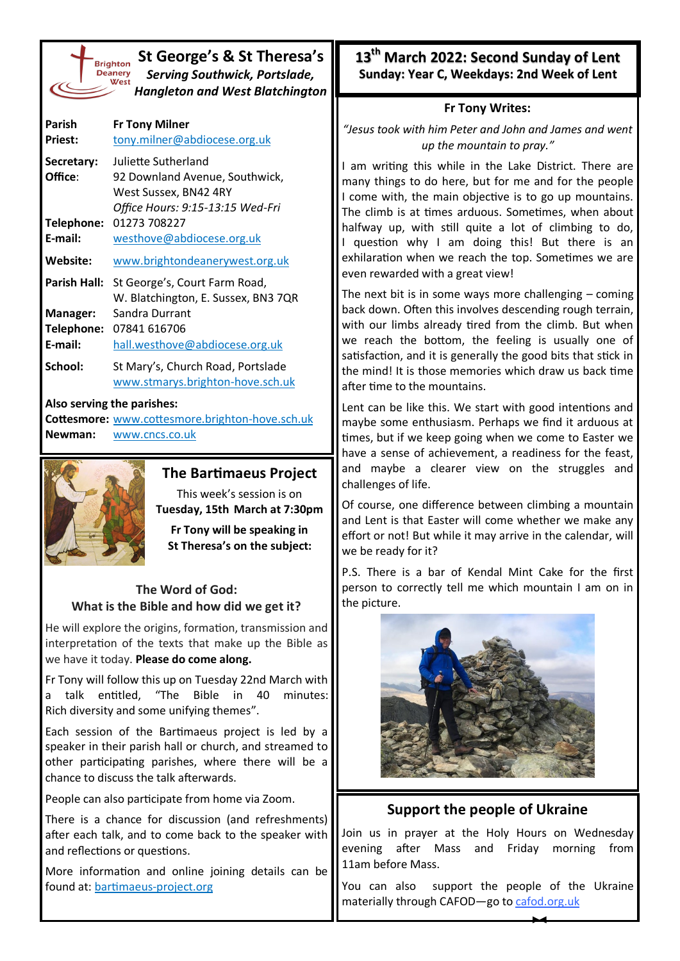| <b>Brighto</b> |
|----------------|
| <b>Deaner</b>  |
| We:            |
|                |
|                |

## **St George's & St Theresa's** *Serving Southwick, Portslade, Hangleton and West Blatchington*

| Parish<br><b>Priest:</b>          | <b>Fr Tony Milner</b><br>tony.milner@abdiocese.org.uk                                                              |
|-----------------------------------|--------------------------------------------------------------------------------------------------------------------|
| Secretary:<br>Office:             | Juliette Sutherland<br>92 Downland Avenue, Southwick,<br>West Sussex, BN42 4RY<br>Office Hours: 9:15-13:15 Wed-Fri |
| Telephone:<br>E-mail:             | 01273 708227<br>westhove@abdiocese.org.uk                                                                          |
| Website:                          | www.brightondeanerywest.org.uk                                                                                     |
| <b>Parish Hall:</b>               | St George's, Court Farm Road,<br>W. Blatchington, E. Sussex, BN3 7QR                                               |
| Manager:<br>Telephone:<br>E-mail: | Sandra Durrant<br>07841 616706<br>hall.westhove@abdiocese.org.uk                                                   |
| School:                           | St Mary's, Church Road, Portslade<br>www.stmarys.brighton-hove.sch.uk                                              |

#### **Also serving the parishes:**

**Cottesmore:** [www.cottesmore.brighton](http://www.cottesmore.brighton-hove.sch.uk)-hove.sch.uk **Newman:** [www.cncs.co.uk](https://www.cncs.co.uk/)



## **The Bartimaeus Project**

This week's session is on **Tuesday, 15th March at 7:30pm** 

**Fr Tony will be speaking in St Theresa's on the subject:**

## **The Word of God: What is the Bible and how did we get it?**

He will explore the origins, formation, transmission and interpretation of the texts that make up the Bible as we have it today. **Please do come along.** 

Fr Tony will follow this up on Tuesday 22nd March with a talk entitled, "The Bible in 40 minutes: Rich diversity and some unifying themes".

Each session of the Bartimaeus project is led by a speaker in their parish hall or church, and streamed to other participating parishes, where there will be a chance to discuss the talk afterwards.

People can also participate from home via Zoom.

There is a chance for discussion (and refreshments) after each talk, and to come back to the speaker with and reflections or questions.

More information and online joining details can be found at: [bartimaeus](https://bartimaeus-project.org/)-project.org

**13th March 2022: Second Sunday of Lent Sunday: Year C, Weekdays: 2nd Week of Lent**

## **Fr Tony Writes:**

*"Jesus took with him Peter and John and James and went up the mountain to pray."*

I am writing this while in the Lake District. There are many things to do here, but for me and for the people I come with, the main objective is to go up mountains. The climb is at times arduous. Sometimes, when about halfway up, with still quite a lot of climbing to do, I question why I am doing this! But there is an exhilaration when we reach the top. Sometimes we are even rewarded with a great view!

The next bit is in some ways more challenging  $-$  coming back down. Often this involves descending rough terrain, with our limbs already tired from the climb. But when we reach the bottom, the feeling is usually one of satisfaction, and it is generally the good bits that stick in the mind! It is those memories which draw us back time after time to the mountains.

Lent can be like this. We start with good intentions and maybe some enthusiasm. Perhaps we find it arduous at times, but if we keep going when we come to Easter we have a sense of achievement, a readiness for the feast, and maybe a clearer view on the struggles and challenges of life.

Of course, one difference between climbing a mountain and Lent is that Easter will come whether we make any effort or not! But while it may arrive in the calendar, will we be ready for it?

P.S. There is a bar of Kendal Mint Cake for the first person to correctly tell me which mountain I am on in the picture.



# **Support the people of Ukraine**

Join us in prayer at the Holy Hours on Wednesday evening after Mass and Friday morning from 11am before Mass.

You can also support the people of the Ukraine materially through CAFOD-go to [cafod.org.uk](https://cafod.org.uk/Give/Donate-to-Emergencies/Ukraine-Humanitarian-Appeal)